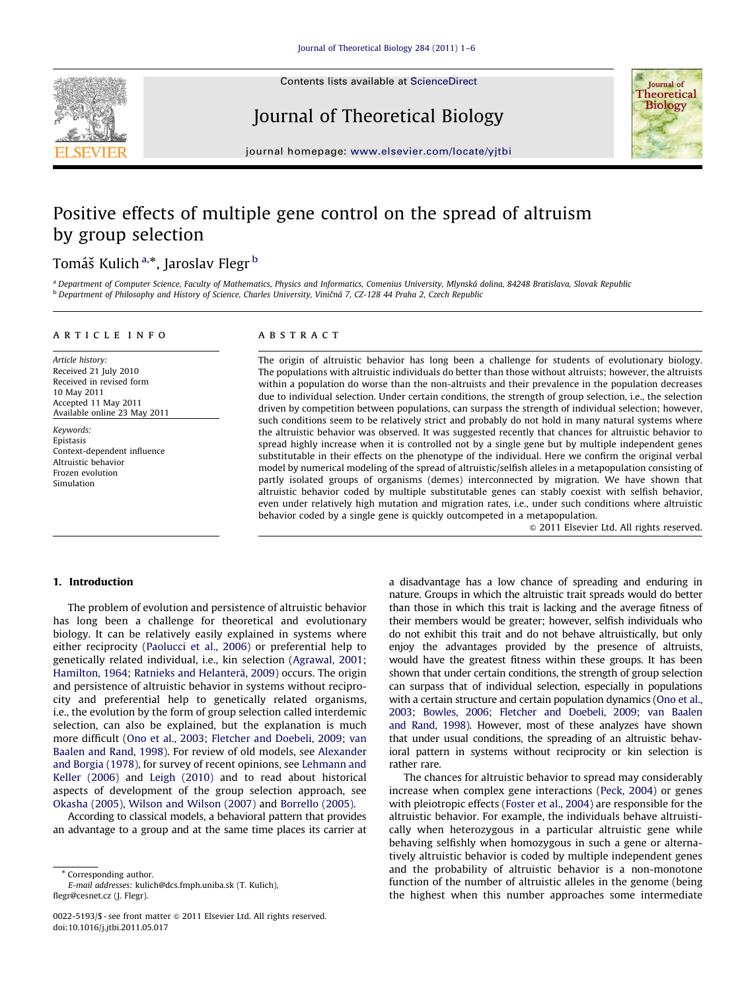

Contents lists available at ScienceDirect

Journal of Theoretical Biology



journal homepage: <www.elsevier.com/locate/yjtbi>

# Positive effects of multiple gene control on the spread of altruism by group selection

# Tomáš Kulich<sup>a,</sup>\*, Jaroslav Flegr <sup>b</sup>

a Department of Computer Science, Faculty of Mathematics, Physics and Informatics, Comenius University, Mlynská dolina, 84248 Bratislava, Slovak Republic <sup>b</sup> Department of Philosophy and History of Science, Charles University, Viničná 7, CZ-128 44 Praha 2, Czech Republic

#### article info

Article history: Received 21 July 2010 Received in revised form 10 May 2011 Accepted 11 May 2011 Available online 23 May 2011

Keywords: Epistasis Context-dependent influence Altruistic behavior Frozen evolution Simulation

#### **ABSTRACT**

The origin of altruistic behavior has long been a challenge for students of evolutionary biology. The populations with altruistic individuals do better than those without altruists; however, the altruists within a population do worse than the non-altruists and their prevalence in the population decreases due to individual selection. Under certain conditions, the strength of group selection, i.e., the selection driven by competition between populations, can surpass the strength of individual selection; however, such conditions seem to be relatively strict and probably do not hold in many natural systems where the altruistic behavior was observed. It was suggested recently that chances for altruistic behavior to spread highly increase when it is controlled not by a single gene but by multiple independent genes substitutable in their effects on the phenotype of the individual. Here we confirm the original verbal model by numerical modeling of the spread of altruistic/selfish alleles in a metapopulation consisting of partly isolated groups of organisms (demes) interconnected by migration. We have shown that altruistic behavior coded by multiple substitutable genes can stably coexist with selfish behavior, even under relatively high mutation and migration rates, i.e., under such conditions where altruistic behavior coded by a single gene is quickly outcompeted in a metapopulation.

 $@$  2011 Elsevier Ltd. All rights reserved.

#### 1. Introduction

The problem of evolution and persistence of altruistic behavior has long been a challenge for theoretical and evolutionary biology. It can be relatively easily explained in systems where either reciprocity [\(Paolucci et al., 2006\)](#page-5-0) or preferential help to genetically related individual, i.e., kin selection ([Agrawal, 2001;](#page-5-0) [Hamilton, 1964](#page-5-0); [Ratnieks and Helanter](#page-5-0)ä[, 2009](#page-5-0)) occurs. The origin and persistence of altruistic behavior in systems without reciprocity and preferential help to genetically related organisms, i.e., the evolution by the form of group selection called interdemic selection, can also be explained, but the explanation is much more difficult ([Ono et al., 2003;](#page-5-0) [Fletcher and Doebeli, 2009;](#page-5-0) [van](#page-5-0) [Baalen and Rand, 1998\)](#page-5-0). For review of old models, see [Alexander](#page-5-0) [and Borgia \(1978\),](#page-5-0) for survey of recent opinions, see [Lehmann and](#page-5-0) [Keller \(2006\)](#page-5-0) and [Leigh \(2010\)](#page-5-0) and to read about historical aspects of development of the group selection approach, see [Okasha \(2005\)](#page-5-0), [Wilson and Wilson \(2007\)](#page-5-0) and [Borrello \(2005\)](#page-5-0).

According to classical models, a behavioral pattern that provides an advantage to a group and at the same time places its carrier at

\* Corresponding author.

E-mail addresses: [kulich@dcs.fmph.uniba.sk \(T. Kulich\),](mailto:kulich@dcs.fmph.uniba.sk) [flegr@cesnet.cz \(J. Flegr\)](mailto:flegr@cesnet.cz).

a disadvantage has a low chance of spreading and enduring in nature. Groups in which the altruistic trait spreads would do better than those in which this trait is lacking and the average fitness of their members would be greater; however, selfish individuals who do not exhibit this trait and do not behave altruistically, but only enjoy the advantages provided by the presence of altruists, would have the greatest fitness within these groups. It has been shown that under certain conditions, the strength of group selection can surpass that of individual selection, especially in populations with a certain structure and certain population dynamics [\(Ono et al.,](#page-5-0) [2003](#page-5-0); [Bowles, 2006](#page-5-0); [Fletcher and Doebeli, 2009;](#page-5-0) [van Baalen](#page-5-0) [and Rand, 1998](#page-5-0)). However, most of these analyzes have shown that under usual conditions, the spreading of an altruistic behavioral pattern in systems without reciprocity or kin selection is rather rare.

The chances for altruistic behavior to spread may considerably increase when complex gene interactions ([Peck, 2004\)](#page-5-0) or genes with pleiotropic effects [\(Foster et al., 2004](#page-5-0)) are responsible for the altruistic behavior. For example, the individuals behave altruistically when heterozygous in a particular altruistic gene while behaving selfishly when homozygous in such a gene or alternatively altruistic behavior is coded by multiple independent genes and the probability of altruistic behavior is a non-monotone function of the number of altruistic alleles in the genome (being the highest when this number approaches some intermediate

<sup>0022-5193/\$ -</sup> see front matter @ 2011 Elsevier Ltd. All rights reserved. doi:[10.1016/j.jtbi.2011.05.017](dx.doi.org/10.1016/j.jtbi.2011.05.017)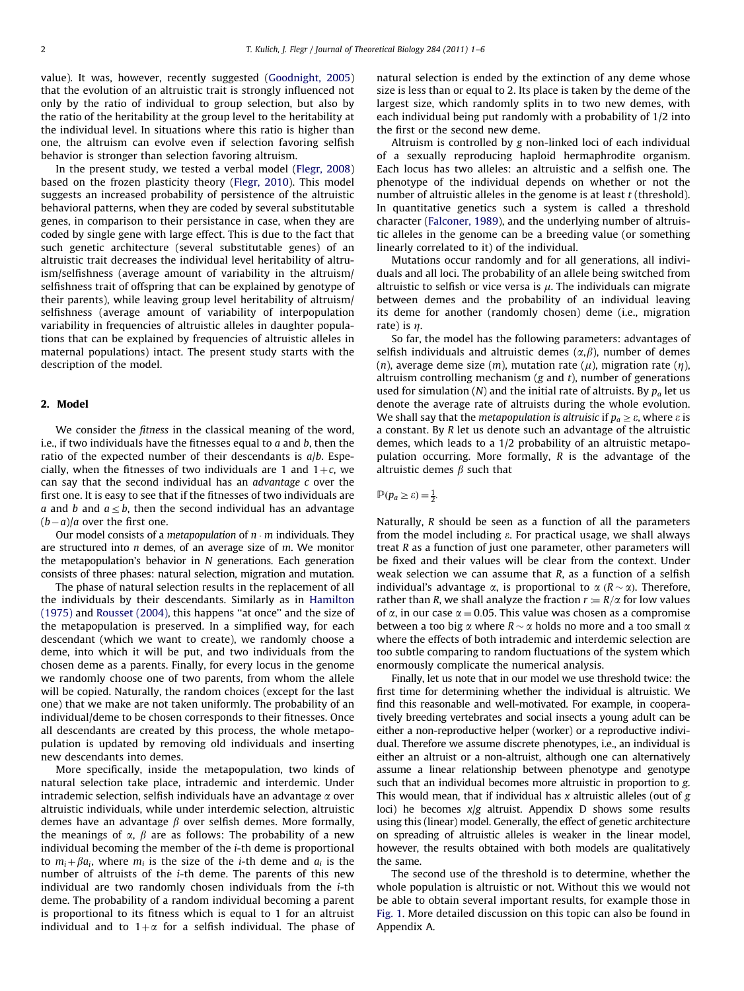value). It was, however, recently suggested [\(Goodnight, 2005\)](#page-5-0) that the evolution of an altruistic trait is strongly influenced not only by the ratio of individual to group selection, but also by the ratio of the heritability at the group level to the heritability at the individual level. In situations where this ratio is higher than one, the altruism can evolve even if selection favoring selfish behavior is stronger than selection favoring altruism.

In the present study, we tested a verbal model [\(Flegr, 2008\)](#page-5-0) based on the frozen plasticity theory [\(Flegr, 2010](#page-5-0)). This model suggests an increased probability of persistence of the altruistic behavioral patterns, when they are coded by several substitutable genes, in comparison to their persistance in case, when they are coded by single gene with large effect. This is due to the fact that such genetic architecture (several substitutable genes) of an altruistic trait decreases the individual level heritability of altruism/selfishness (average amount of variability in the altruism/ selfishness trait of offspring that can be explained by genotype of their parents), while leaving group level heritability of altruism/ selfishness (average amount of variability of interpopulation variability in frequencies of altruistic alleles in daughter populations that can be explained by frequencies of altruistic alleles in maternal populations) intact. The present study starts with the description of the model.

#### 2. Model

We consider the *fitness* in the classical meaning of the word, i.e., if two individuals have the fitnesses equal to  $a$  and  $b$ , then the ratio of the expected number of their descendants is  $a/b$ . Especially, when the fitnesses of two individuals are 1 and  $1+c$ , we can say that the second individual has an advantage c over the first one. It is easy to see that if the fitnesses of two individuals are a and b and  $a \leq b$ , then the second individual has an advantage  $(b-a)/a$  over the first one.

Our model consists of a *metapopulation* of  $n \cdot m$  individuals. They are structured into n demes, of an average size of m. We monitor the metapopulation's behavior in N generations. Each generation consists of three phases: natural selection, migration and mutation.

The phase of natural selection results in the replacement of all the individuals by their descendants. Similarly as in [Hamilton](#page-5-0) [\(1975\)](#page-5-0) and [Rousset \(2004\)](#page-5-0), this happens ''at once'' and the size of the metapopulation is preserved. In a simplified way, for each descendant (which we want to create), we randomly choose a deme, into which it will be put, and two individuals from the chosen deme as a parents. Finally, for every locus in the genome we randomly choose one of two parents, from whom the allele will be copied. Naturally, the random choices (except for the last one) that we make are not taken uniformly. The probability of an individual/deme to be chosen corresponds to their fitnesses. Once all descendants are created by this process, the whole metapopulation is updated by removing old individuals and inserting new descendants into demes.

More specifically, inside the metapopulation, two kinds of natural selection take place, intrademic and interdemic. Under intrademic selection, selfish individuals have an advantage  $\alpha$  over altruistic individuals, while under interdemic selection, altruistic demes have an advantage  $\beta$  over selfish demes. More formally, the meanings of  $\alpha$ ,  $\beta$  are as follows: The probability of a new individual becoming the member of the i-th deme is proportional to  $m_i + \beta a_i$ , where  $m_i$  is the size of the *i*-th deme and  $a_i$  is the number of altruists of the i-th deme. The parents of this new individual are two randomly chosen individuals from the i-th deme. The probability of a random individual becoming a parent is proportional to its fitness which is equal to 1 for an altruist individual and to  $1+\alpha$  for a selfish individual. The phase of natural selection is ended by the extinction of any deme whose size is less than or equal to 2. Its place is taken by the deme of the largest size, which randomly splits in to two new demes, with each individual being put randomly with a probability of 1/2 into the first or the second new deme.

Altruism is controlled by g non-linked loci of each individual of a sexually reproducing haploid hermaphrodite organism. Each locus has two alleles: an altruistic and a selfish one. The phenotype of the individual depends on whether or not the number of altruistic alleles in the genome is at least t (threshold). In quantitative genetics such a system is called a threshold character ([Falconer, 1989](#page-5-0)), and the underlying number of altruistic alleles in the genome can be a breeding value (or something linearly correlated to it) of the individual.

Mutations occur randomly and for all generations, all individuals and all loci. The probability of an allele being switched from altruistic to selfish or vice versa is  $\mu$ . The individuals can migrate between demes and the probability of an individual leaving its deme for another (randomly chosen) deme (i.e., migration rate) is  $n$ .

So far, the model has the following parameters: advantages of selfish individuals and altruistic demes  $(\alpha, \beta)$ , number of demes (n), average deme size (m), mutation rate ( $\mu$ ), migration rate ( $\eta$ ), altruism controlling mechanism ( $g$  and  $t$ ), number of generations used for simulation (N) and the initial rate of altruists. By  $p_a$  let us denote the average rate of altruists during the whole evolution. We shall say that the *metapopulation is altruisic* if  $p_a \geq \varepsilon$ , where  $\varepsilon$  is a constant. By R let us denote such an advantage of the altruistic demes, which leads to a 1/2 probability of an altruistic metapopulation occurring. More formally, R is the advantage of the altruistic demes  $\beta$  such that

## $\mathbb{P}(p_a \geq \varepsilon) = \frac{1}{2}.$

Naturally, R should be seen as a function of all the parameters from the model including  $\varepsilon$ . For practical usage, we shall always treat R as a function of just one parameter, other parameters will be fixed and their values will be clear from the context. Under weak selection we can assume that  $R$ , as a function of a selfish individual's advantage  $\alpha$ , is proportional to  $\alpha$  ( $R \sim \alpha$ ). Therefore, rather than R, we shall analyze the fraction  $r = R/\alpha$  for low values of  $\alpha$ , in our case  $\alpha = 0.05$ . This value was chosen as a compromise between a too big  $\alpha$  where  $R \sim \alpha$  holds no more and a too small  $\alpha$ where the effects of both intrademic and interdemic selection are too subtle comparing to random fluctuations of the system which enormously complicate the numerical analysis.

Finally, let us note that in our model we use threshold twice: the first time for determining whether the individual is altruistic. We find this reasonable and well-motivated. For example, in cooperatively breeding vertebrates and social insects a young adult can be either a non-reproductive helper (worker) or a reproductive individual. Therefore we assume discrete phenotypes, i.e., an individual is either an altruist or a non-altruist, although one can alternatively assume a linear relationship between phenotype and genotype such that an individual becomes more altruistic in proportion to g. This would mean, that if individual has  $x$  altruistic alleles (out of  $g$ loci) he becomes  $x/g$  altruist. Appendix D shows some results using this (linear) model. Generally, the effect of genetic architecture on spreading of altruistic alleles is weaker in the linear model, however, the results obtained with both models are qualitatively the same.

The second use of the threshold is to determine, whether the whole population is altruistic or not. Without this we would not be able to obtain several important results, for example those in [Fig. 1](#page-2-0). More detailed discussion on this topic can also be found in Appendix A.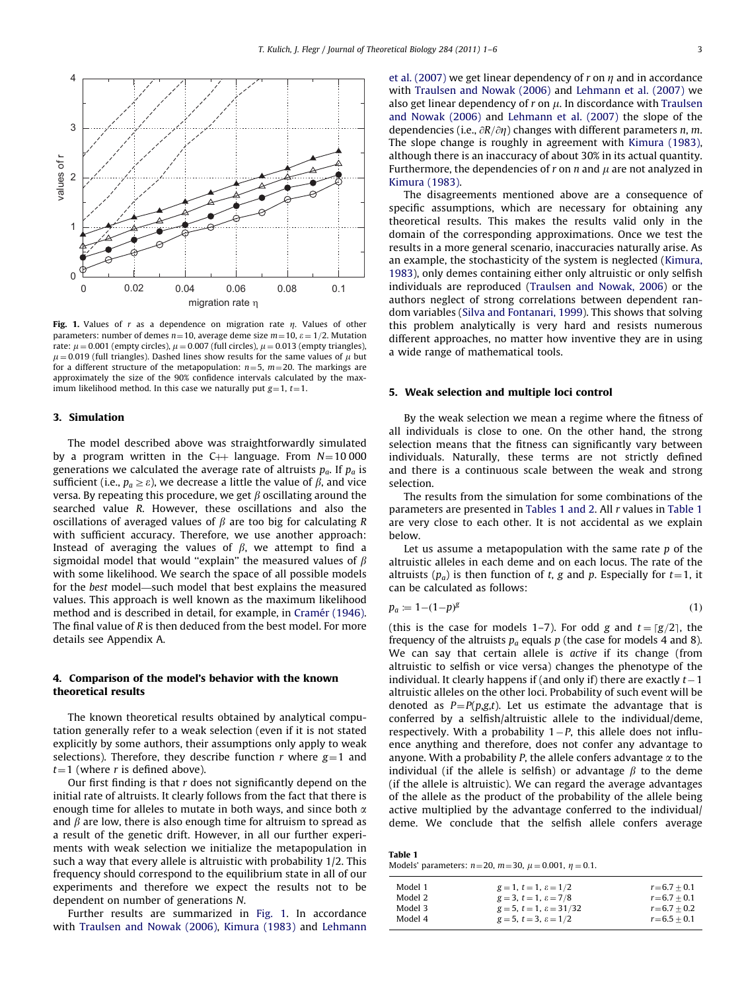<span id="page-2-0"></span>

Fig. 1. Values of r as a dependence on migration rate n. Values of other parameters: number of demes  $n=10$ , average deme size  $m=10$ ,  $\varepsilon = 1/2$ . Mutation rate:  $\mu$  = 0.001 (empty circles),  $\mu$  = 0.007 (full circles),  $\mu$  = 0.013 (empty triangles),  $\mu$  = 0.019 (full triangles). Dashed lines show results for the same values of  $\mu$  but for a different structure of the metapopulation:  $n=5$ ,  $m=20$ . The markings are approximately the size of the 90% confidence intervals calculated by the maximum likelihood method. In this case we naturally put  $g=1, t=1$ .

#### 3. Simulation

The model described above was straightforwardly simulated by a program written in the  $C++$  language. From  $N=10000$ generations we calculated the average rate of altruists  $p_a$ . If  $p_a$  is sufficient (i.e.,  $p_a \geq \varepsilon$ ), we decrease a little the value of  $\beta$ , and vice versa. By repeating this procedure, we get  $\beta$  oscillating around the searched value R. However, these oscillations and also the oscillations of averaged values of  $\beta$  are too big for calculating R with sufficient accuracy. Therefore, we use another approach: Instead of averaging the values of  $\beta$ , we attempt to find a sigmoidal model that would "explain" the measured values of  $\beta$ with some likelihood. We search the space of all possible models for the best model—such model that best explains the measured values. This approach is well known as the maximum likelihood method and is described in detail, for example, in Cramé[r \(1946\).](#page-5-0) The final value of R is then deduced from the best model. For more details see Appendix A.

### 4. Comparison of the model's behavior with the known theoretical results

The known theoretical results obtained by analytical computation generally refer to a weak selection (even if it is not stated explicitly by some authors, their assumptions only apply to weak selections). Therefore, they describe function  $r$  where  $g=1$  and  $t=1$  (where r is defined above).

Our first finding is that  $r$  does not significantly depend on the initial rate of altruists. It clearly follows from the fact that there is enough time for alleles to mutate in both ways, and since both  $\alpha$ and  $\beta$  are low, there is also enough time for altruism to spread as a result of the genetic drift. However, in all our further experiments with weak selection we initialize the metapopulation in such a way that every allele is altruistic with probability 1/2. This frequency should correspond to the equilibrium state in all of our experiments and therefore we expect the results not to be dependent on number of generations N.

Further results are summarized in Fig. 1. In accordance with [Traulsen and Nowak \(2006\),](#page-5-0) [Kimura \(1983\)](#page-5-0) and [Lehmann](#page-5-0) [et al. \(2007\)](#page-5-0) we get linear dependency of  $r$  on  $\eta$  and in accordance with [Traulsen and Nowak \(2006\)](#page-5-0) and [Lehmann et al. \(2007\)](#page-5-0) we also get linear dependency of  $r$  on  $\mu$ . In discordance with [Traulsen](#page-5-0) [and Nowak \(2006\)](#page-5-0) and [Lehmann et al. \(2007\)](#page-5-0) the slope of the dependencies (i.e.,  $\partial R/\partial \eta$ ) changes with different parameters *n*, *m*. The slope change is roughly in agreement with [Kimura \(1983\),](#page-5-0) although there is an inaccuracy of about 30% in its actual quantity. Furthermore, the dependencies of  $r$  on  $n$  and  $\mu$  are not analyzed in [Kimura \(1983\).](#page-5-0)

The disagreements mentioned above are a consequence of specific assumptions, which are necessary for obtaining any theoretical results. This makes the results valid only in the domain of the corresponding approximations. Once we test the results in a more general scenario, inaccuracies naturally arise. As an example, the stochasticity of the system is neglected [\(Kimura,](#page-5-0) [1983\)](#page-5-0), only demes containing either only altruistic or only selfish individuals are reproduced ([Traulsen and Nowak, 2006](#page-5-0)) or the authors neglect of strong correlations between dependent random variables [\(Silva and Fontanari, 1999](#page-5-0)). This shows that solving this problem analytically is very hard and resists numerous different approaches, no matter how inventive they are in using a wide range of mathematical tools.

#### 5. Weak selection and multiple loci control

By the weak selection we mean a regime where the fitness of all individuals is close to one. On the other hand, the strong selection means that the fitness can significantly vary between individuals. Naturally, these terms are not strictly defined and there is a continuous scale between the weak and strong selection.

The results from the simulation for some combinations of the parameters are presented in Tables 1 and 2. All r values in Table 1 are very close to each other. It is not accidental as we explain below.

Let us assume a metapopulation with the same rate  $p$  of the altruistic alleles in each deme and on each locus. The rate of the altruists  $(p_a)$  is then function of t, g and p. Especially for  $t=1$ , it can be calculated as follows:

$$
p_a \coloneqq 1 - (1 - p)^g \tag{1}
$$

(this is the case for models 1–7). For odd g and  $t = \lceil g/2 \rceil$ , the frequency of the altruists  $p_a$  equals p (the case for models 4 and 8). We can say that certain allele is active if its change (from altruistic to selfish or vice versa) changes the phenotype of the individual. It clearly happens if (and only if) there are exactly  $t-1$ altruistic alleles on the other loci. Probability of such event will be denoted as  $P = P(p,g,t)$ . Let us estimate the advantage that is conferred by a selfish/altruistic allele to the individual/deme,  $r$ espectively. With a probability  $1-P$ , this allele does not influence anything and therefore, does not confer any advantage to anyone. With a probability P, the allele confers advantage  $\alpha$  to the individual (if the allele is selfish) or advantage  $\beta$  to the deme (if the allele is altruistic). We can regard the average advantages of the allele as the product of the probability of the allele being active multiplied by the advantage conferred to the individual/ deme. We conclude that the selfish allele confers average

| Table 1 |                                                                      |
|---------|----------------------------------------------------------------------|
|         | Models' parameters: $n=20$ , $m=30$ , $\mu = 0.001$ , $\eta = 0.1$ . |

| Model 1 | $g = 1, t = 1, \varepsilon = 1/2$         | $r = 6.7 + 0.1$ |
|---------|-------------------------------------------|-----------------|
| Model 2 | $g = 3$ , $t = 1$ , $\varepsilon = 7/8$   | $r = 6.7 + 0.1$ |
| Model 3 | $g = 5$ , $t = 1$ , $\varepsilon = 31/32$ | $r = 6.7 + 0.2$ |
| Model 4 | $g = 5$ , $t = 3$ , $\varepsilon = 1/2$   | $r = 6.5 + 0.1$ |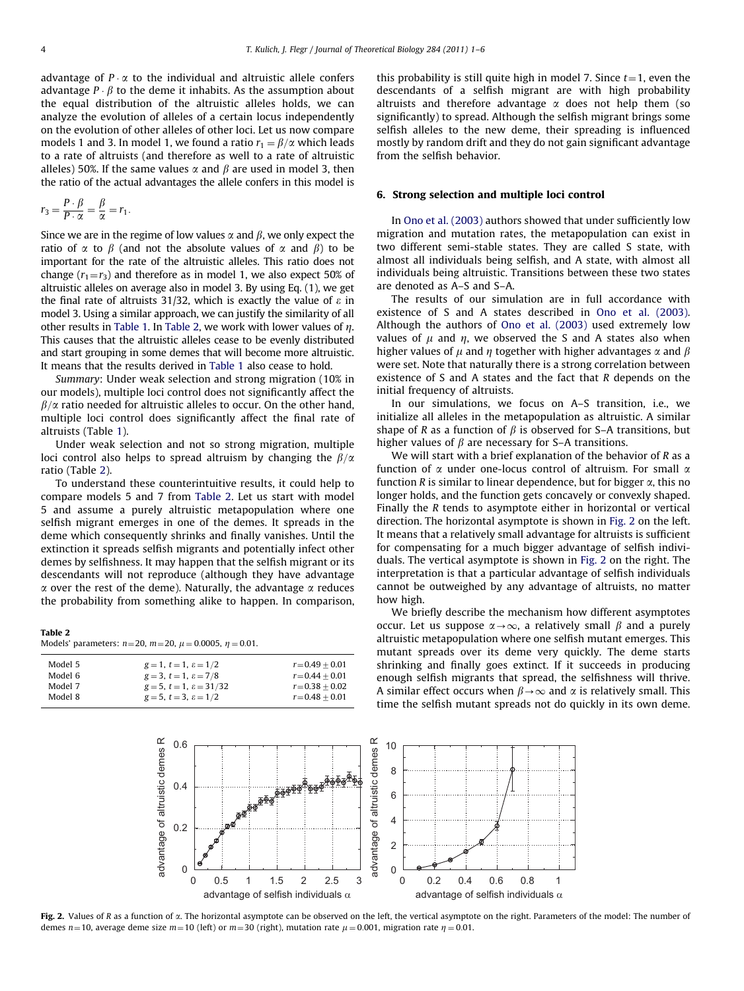<span id="page-3-0"></span>advantage of  $P \cdot \alpha$  to the individual and altruistic allele confers advantage  $P \cdot \beta$  to the deme it inhabits. As the assumption about the equal distribution of the altruistic alleles holds, we can analyze the evolution of alleles of a certain locus independently on the evolution of other alleles of other loci. Let us now compare models 1 and 3. In model 1, we found a ratio  $r_1 = \beta/\alpha$  which leads to a rate of altruists (and therefore as well to a rate of altruistic alleles) 50%. If the same values  $\alpha$  and  $\beta$  are used in model 3, then the ratio of the actual advantages the allele confers in this model is

$$
r_3 = \frac{P \cdot \beta}{P \cdot \alpha} = \frac{\beta}{\alpha} = r_1.
$$

Since we are in the regime of low values  $\alpha$  and  $\beta$ , we only expect the ratio of  $\alpha$  to  $\beta$  (and not the absolute values of  $\alpha$  and  $\beta$ ) to be important for the rate of the altruistic alleles. This ratio does not change  $(r_1=r_3)$  and therefore as in model 1, we also expect 50% of altruistic alleles on average also in model 3. By using Eq. (1), we get the final rate of altruists 31/32, which is exactly the value of  $\varepsilon$  in model 3. Using a similar approach, we can justify the similarity of all other results in [Table 1](#page-2-0). In Table 2, we work with lower values of  $\eta$ . This causes that the altruistic alleles cease to be evenly distributed and start grouping in some demes that will become more altruistic. It means that the results derived in [Table 1](#page-2-0) also cease to hold.

Summary: Under weak selection and strong migration (10% in our models), multiple loci control does not significantly affect the  $\beta/\alpha$  ratio needed for altruistic alleles to occur. On the other hand, multiple loci control does significantly affect the final rate of altruists (Table [1](#page-2-0)).

Under weak selection and not so strong migration, multiple loci control also helps to spread altruism by changing the  $\beta/\alpha$ ratio (Table 2).

To understand these counterintuitive results, it could help to compare models 5 and 7 from Table 2. Let us start with model 5 and assume a purely altruistic metapopulation where one selfish migrant emerges in one of the demes. It spreads in the deme which consequently shrinks and finally vanishes. Until the extinction it spreads selfish migrants and potentially infect other demes by selfishness. It may happen that the selfish migrant or its descendants will not reproduce (although they have advantage  $\alpha$  over the rest of the deme). Naturally, the advantage  $\alpha$  reduces the probability from something alike to happen. In comparison,

| n | m |  |
|---|---|--|
|   |   |  |

| Models' parameters: $n = 20$ , $m = 20$ , $\mu = 0.0005$ , $\eta = 0.01$ . |  |  |
|----------------------------------------------------------------------------|--|--|

| Model 5 | $g = 1, t = 1, \varepsilon = 1/2$         | $r = 0.49 + 0.01$ |
|---------|-------------------------------------------|-------------------|
| Model 6 | $g = 3$ , $t = 1$ , $\varepsilon = 7/8$   | $r = 0.44 + 0.01$ |
| Model 7 | $g = 5$ , $t = 1$ , $\varepsilon = 31/32$ | $r = 0.38 + 0.02$ |
| Model 8 | $g = 5$ , $t = 3$ , $\varepsilon = 1/2$   | $r = 0.48 + 0.01$ |

this probability is still quite high in model 7. Since  $t=1$ , even the descendants of a selfish migrant are with high probability altruists and therefore advantage  $\alpha$  does not help them (so significantly) to spread. Although the selfish migrant brings some selfish alleles to the new deme, their spreading is influenced mostly by random drift and they do not gain significant advantage from the selfish behavior.

#### 6. Strong selection and multiple loci control

In [Ono et al. \(2003\)](#page-5-0) authors showed that under sufficiently low migration and mutation rates, the metapopulation can exist in two different semi-stable states. They are called S state, with almost all individuals being selfish, and A state, with almost all individuals being altruistic. Transitions between these two states are denoted as A–S and S–A.

The results of our simulation are in full accordance with existence of S and A states described in [Ono et al. \(2003\).](#page-5-0) Although the authors of [Ono et al. \(2003\)](#page-5-0) used extremely low values of  $\mu$  and  $\eta$ , we observed the S and A states also when higher values of  $\mu$  and  $\eta$  together with higher advantages  $\alpha$  and  $\beta$ were set. Note that naturally there is a strong correlation between existence of S and A states and the fact that R depends on the initial frequency of altruists.

In our simulations, we focus on A–S transition, i.e., we initialize all alleles in the metapopulation as altruistic. A similar shape of R as a function of  $\beta$  is observed for S–A transitions, but higher values of  $\beta$  are necessary for S–A transitions.

We will start with a brief explanation of the behavior of R as a function of  $\alpha$  under one-locus control of altruism. For small  $\alpha$ function R is similar to linear dependence, but for bigger  $\alpha$ , this no longer holds, and the function gets concavely or convexly shaped. Finally the R tends to asymptote either in horizontal or vertical direction. The horizontal asymptote is shown in Fig. 2 on the left. It means that a relatively small advantage for altruists is sufficient for compensating for a much bigger advantage of selfish individuals. The vertical asymptote is shown in Fig. 2 on the right. The interpretation is that a particular advantage of selfish individuals cannot be outweighed by any advantage of altruists, no matter how high.

We briefly describe the mechanism how different asymptotes occur. Let us suppose  $\alpha \rightarrow \infty$ , a relatively small  $\beta$  and a purely altruistic metapopulation where one selfish mutant emerges. This mutant spreads over its deme very quickly. The deme starts shrinking and finally goes extinct. If it succeeds in producing enough selfish migrants that spread, the selfishness will thrive. A similar effect occurs when  $\beta \rightarrow \infty$  and  $\alpha$  is relatively small. This time the selfish mutant spreads not do quickly in its own deme.



Fig. 2. Values of R as a function of  $\alpha$ . The horizontal asymptote can be observed on the left, the vertical asymptote on the right. Parameters of the model: The number of demes n=10, average deme size m=10 (left) or m=30 (right), mutation rate  $\mu$  = 0.001, migration rate  $\eta$  = 0.01.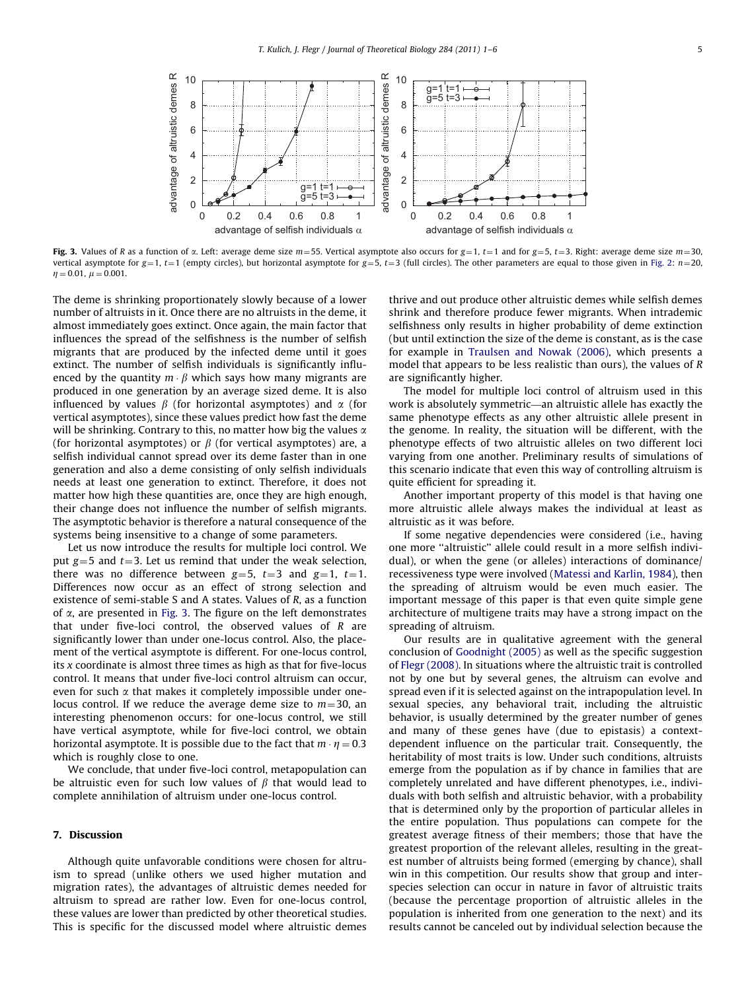

Fig. 3. Values of R as a function of  $\alpha$ . Left: average deme size  $m=55$ . Vertical asymptote also occurs for  $g=1$ ,  $t=1$  and for  $g=5$ ,  $t=3$ . Right: average deme size  $m=30$ . vertical asymptote for g=1, t=1 (empty circles), but horizontal asymptote for g=5, t=3 (full circles). The other parameters are equal to those given in [Fig. 2](#page-3-0): n=20,  $n = 0.01$ ,  $\mu = 0.001$ .

The deme is shrinking proportionately slowly because of a lower number of altruists in it. Once there are no altruists in the deme, it almost immediately goes extinct. Once again, the main factor that influences the spread of the selfishness is the number of selfish migrants that are produced by the infected deme until it goes extinct. The number of selfish individuals is significantly influenced by the quantity  $m \cdot \beta$  which says how many migrants are produced in one generation by an average sized deme. It is also influenced by values  $\beta$  (for horizontal asymptotes) and  $\alpha$  (for vertical asymptotes), since these values predict how fast the deme will be shrinking. Contrary to this, no matter how big the values  $\alpha$ (for horizontal asymptotes) or  $\beta$  (for vertical asymptotes) are, a selfish individual cannot spread over its deme faster than in one generation and also a deme consisting of only selfish individuals needs at least one generation to extinct. Therefore, it does not matter how high these quantities are, once they are high enough, their change does not influence the number of selfish migrants. The asymptotic behavior is therefore a natural consequence of the systems being insensitive to a change of some parameters.

Let us now introduce the results for multiple loci control. We put  $g=5$  and  $t=3$ . Let us remind that under the weak selection, there was no difference between  $g=5$ ,  $t=3$  and  $g=1$ ,  $t=1$ . Differences now occur as an effect of strong selection and existence of semi-stable S and A states. Values of R, as a function of  $\alpha$ , are presented in Fig. 3. The figure on the left demonstrates that under five-loci control, the observed values of  *are* significantly lower than under one-locus control. Also, the placement of the vertical asymptote is different. For one-locus control, its x coordinate is almost three times as high as that for five-locus control. It means that under five-loci control altruism can occur, even for such  $\alpha$  that makes it completely impossible under onelocus control. If we reduce the average deme size to  $m=30$ , an interesting phenomenon occurs: for one-locus control, we still have vertical asymptote, while for five-loci control, we obtain horizontal asymptote. It is possible due to the fact that  $m \cdot \eta = 0.3$ which is roughly close to one.

We conclude, that under five-loci control, metapopulation can be altruistic even for such low values of  $\beta$  that would lead to complete annihilation of altruism under one-locus control.

#### 7. Discussion

Although quite unfavorable conditions were chosen for altruism to spread (unlike others we used higher mutation and migration rates), the advantages of altruistic demes needed for altruism to spread are rather low. Even for one-locus control, these values are lower than predicted by other theoretical studies. This is specific for the discussed model where altruistic demes thrive and out produce other altruistic demes while selfish demes shrink and therefore produce fewer migrants. When intrademic selfishness only results in higher probability of deme extinction (but until extinction the size of the deme is constant, as is the case for example in [Traulsen and Nowak \(2006\)](#page-5-0), which presents a model that appears to be less realistic than ours), the values of R are significantly higher.

The model for multiple loci control of altruism used in this work is absolutely symmetric—an altruistic allele has exactly the same phenotype effects as any other altruistic allele present in the genome. In reality, the situation will be different, with the phenotype effects of two altruistic alleles on two different loci varying from one another. Preliminary results of simulations of this scenario indicate that even this way of controlling altruism is quite efficient for spreading it.

Another important property of this model is that having one more altruistic allele always makes the individual at least as altruistic as it was before.

If some negative dependencies were considered (i.e., having one more ''altruistic'' allele could result in a more selfish individual), or when the gene (or alleles) interactions of dominance/ recessiveness type were involved ([Matessi and Karlin, 1984](#page-5-0)), then the spreading of altruism would be even much easier. The important message of this paper is that even quite simple gene architecture of multigene traits may have a strong impact on the spreading of altruism.

Our results are in qualitative agreement with the general conclusion of [Goodnight \(2005\)](#page-5-0) as well as the specific suggestion of [Flegr \(2008\)](#page-5-0). In situations where the altruistic trait is controlled not by one but by several genes, the altruism can evolve and spread even if it is selected against on the intrapopulation level. In sexual species, any behavioral trait, including the altruistic behavior, is usually determined by the greater number of genes and many of these genes have (due to epistasis) a contextdependent influence on the particular trait. Consequently, the heritability of most traits is low. Under such conditions, altruists emerge from the population as if by chance in families that are completely unrelated and have different phenotypes, i.e., individuals with both selfish and altruistic behavior, with a probability that is determined only by the proportion of particular alleles in the entire population. Thus populations can compete for the greatest average fitness of their members; those that have the greatest proportion of the relevant alleles, resulting in the greatest number of altruists being formed (emerging by chance), shall win in this competition. Our results show that group and interspecies selection can occur in nature in favor of altruistic traits (because the percentage proportion of altruistic alleles in the population is inherited from one generation to the next) and its results cannot be canceled out by individual selection because the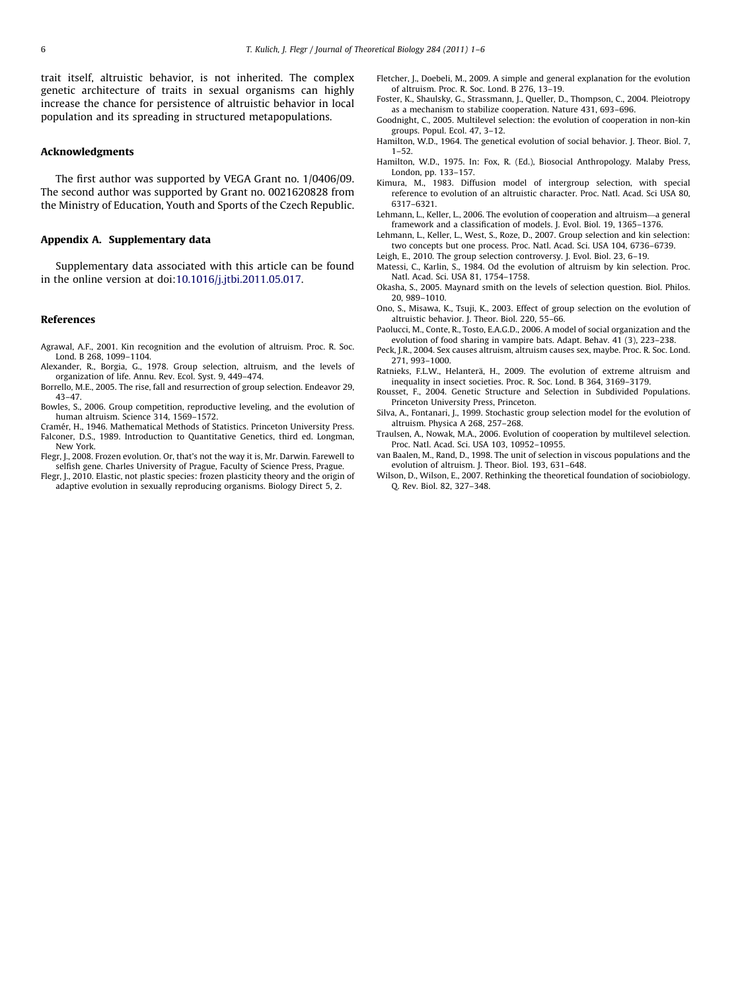<span id="page-5-0"></span>trait itself, altruistic behavior, is not inherited. The complex genetic architecture of traits in sexual organisms can highly increase the chance for persistence of altruistic behavior in local population and its spreading in structured metapopulations.

#### Acknowledgments

The first author was supported by VEGA Grant no. 1/0406/09. The second author was supported by Grant no. 0021620828 from the Ministry of Education, Youth and Sports of the Czech Republic.

#### Appendix A. Supplementary data

Supplementary data associated with this article can be found in the online version at doi:<10.1016/j.jtbi.2011.05.017>.

#### References

- Agrawal, A.F., 2001. Kin recognition and the evolution of altruism. Proc. R. Soc. Lond. B 268, 1099–1104.
- Alexander, R., Borgia, G., 1978. Group selection, altruism, and the levels of organization of life. Annu. Rev. Ecol. Syst. 9, 449–474.
- Borrello, M.E., 2005. The rise, fall and resurrection of group selection. Endeavor 29, 43–47.
- Bowles, S., 2006. Group competition, reproductive leveling, and the evolution of human altruism. Science 314, 1569–1572.
- Cramér, H., 1946. Mathematical Methods of Statistics. Princeton University Press. Falconer, D.S., 1989. Introduction to Quantitative Genetics, third ed. Longman, New York.
- Flegr, J., 2008. Frozen evolution. Or, that's not the way it is, Mr. Darwin. Farewell to selfish gene. Charles University of Prague, Faculty of Science Press, Prague.
- Flegr, J., 2010. Elastic, not plastic species: frozen plasticity theory and the origin of adaptive evolution in sexually reproducing organisms. Biology Direct 5, 2.
- Fletcher, J., Doebeli, M., 2009. A simple and general explanation for the evolution of altruism. Proc. R. Soc. Lond. B 276, 13–19.
- Foster, K., Shaulsky, G., Strassmann, J., Queller, D., Thompson, C., 2004. Pleiotropy as a mechanism to stabilize cooperation. Nature 431, 693–696.
- Goodnight, C., 2005. Multilevel selection: the evolution of cooperation in non-kin groups. Popul. Ecol. 47, 3–12.
- Hamilton, W.D., 1964. The genetical evolution of social behavior. J. Theor. Biol. 7, 1–52.
- Hamilton, W.D., 1975. In: Fox, R. (Ed.), Biosocial Anthropology. Malaby Press, London, pp. 133–157.
- Kimura, M., 1983. Diffusion model of intergroup selection, with special reference to evolution of an altruistic character. Proc. Natl. Acad. Sci USA 80, 6317–6321.
- Lehmann, L., Keller, L., 2006. The evolution of cooperation and altruism—a general framework and a classification of models. J. Evol. Biol. 19, 1365–1376.
- Lehmann, L., Keller, L., West, S., Roze, D., 2007. Group selection and kin selection: two concepts but one process. Proc. Natl. Acad. Sci. USA 104, 6736–6739.
- Leigh, E., 2010. The group selection controversy. J. Evol. Biol. 23, 6–19.
- Matessi, C., Karlin, S., 1984. Od the evolution of altruism by kin selection. Proc. Natl. Acad. Sci. USA 81, 1754–1758.
- Okasha, S., 2005. Maynard smith on the levels of selection question. Biol. Philos. 20, 989–1010.
- Ono, S., Misawa, K., Tsuji, K., 2003. Effect of group selection on the evolution of altruistic behavior. J. Theor. Biol. 220, 55–66.
- Paolucci, M., Conte, R., Tosto, E.A.G.D., 2006. A model of social organization and the evolution of food sharing in vampire bats. Adapt. Behav. 41 (3), 223–238.
- Peck, J.R., 2004. Sex causes altruism, altruism causes sex, maybe. Proc. R. Soc. Lond. 271, 993–1000.
- Ratnieks, F.L.W., Helanterä, H., 2009. The evolution of extreme altruism and inequality in insect societies. Proc. R. Soc. Lond. B 364, 3169–3179.
- Rousset, F., 2004. Genetic Structure and Selection in Subdivided Populations. Princeton University Press, Princeton.
- Silva, A., Fontanari, J., 1999. Stochastic group selection model for the evolution of altruism. Physica A 268, 257–268.
- Traulsen, A., Nowak, M.A., 2006. Evolution of cooperation by multilevel selection. Proc. Natl. Acad. Sci. USA 103, 10952–10955.
- van Baalen, M., Rand, D., 1998. The unit of selection in viscous populations and the evolution of altruism. J. Theor. Biol. 193, 631–648.
- Wilson, D., Wilson, E., 2007. Rethinking the theoretical foundation of sociobiology. Q. Rev. Biol. 82, 327–348.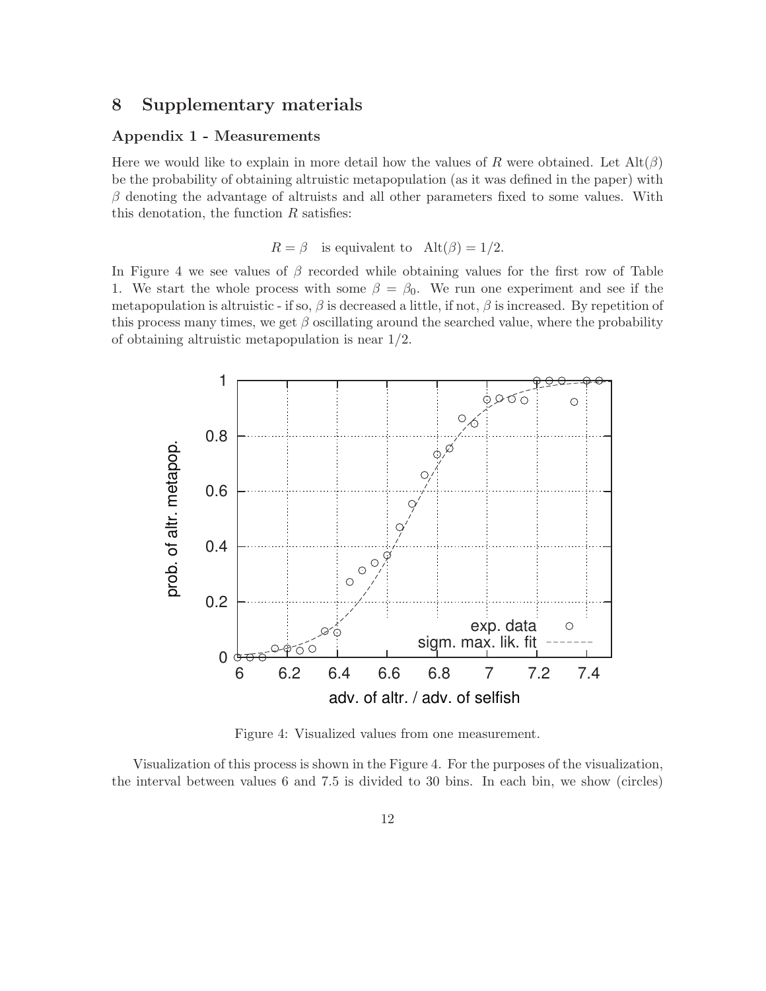# **8 Supplementary materials**

### **Appendix 1 - Measurements**

Here we would like to explain in more detail how the values of R were obtained. Let  $\text{Alt}(\beta)$ be the probability of obtaining altruistic metapopulation (as it was defined in the paper) with  $\beta$  denoting the advantage of altruists and all other parameters fixed to some values. With this denotation, the function  $R$  satisfies:

# $R = \beta$  is equivalent to  $\text{Alt}(\beta) = 1/2$ .

In Figure 4 we see values of  $\beta$  recorded while obtaining values for the first row of Table 1. We start the whole process with some  $\beta = \beta_0$ . We run one experiment and see if the metapopulation is altruistic - if so,  $\beta$  is decreased a little, if not,  $\beta$  is increased. By repetition of this process many times, we get  $\beta$  oscillating around the searched value, where the probability of obtaining altruistic metapopulation is near 1/2.



Figure 4: Visualized values from one measurement.

Visualization of this process is shown in the Figure 4. For the purposes of the visualization, the interval between values 6 and 7.5 is divided to 30 bins. In each bin, we show (circles)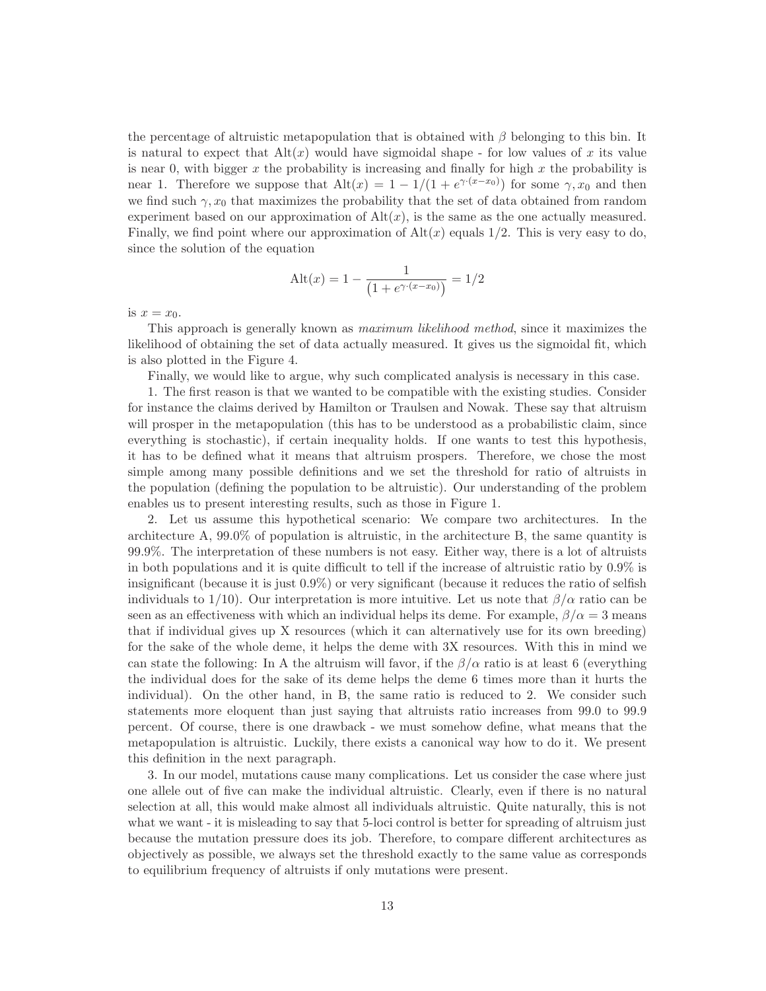the percentage of altruistic metapopulation that is obtained with  $\beta$  belonging to this bin. It is natural to expect that  $\text{Alt}(x)$  would have sigmoidal shape - for low values of x its value is near 0, with bigger x the probability is increasing and finally for high x the probability is near 1. Therefore we suppose that  $\text{Alt}(x) = 1 - 1/(1 + e^{\gamma (x-x_0)})$  for some  $\gamma, x_0$  and then we find such  $\gamma$ ,  $x_0$  that maximizes the probability that the set of data obtained from random experiment based on our approximation of  $Alt(x)$ , is the same as the one actually measured. Finally, we find point where our approximation of  $\text{Alt}(x)$  equals 1/2. This is very easy to do, since the solution of the equation

$$
Alt(x) = 1 - \frac{1}{\left(1 + e^{\gamma \cdot (x - x_0)}\right)} = 1/2
$$

is  $x = x_0$ .

This approach is generally known as maximum likelihood method, since it maximizes the likelihood of obtaining the set of data actually measured. It gives us the sigmoidal fit, which is also plotted in the Figure 4.

Finally, we would like to argue, why such complicated analysis is necessary in this case.

1. The first reason is that we wanted to be compatible with the existing studies. Consider for instance the claims derived by Hamilton or Traulsen and Nowak. These say that altruism will prosper in the metapopulation (this has to be understood as a probabilistic claim, since everything is stochastic), if certain inequality holds. If one wants to test this hypothesis, it has to be defined what it means that altruism prospers. Therefore, we chose the most simple among many possible definitions and we set the threshold for ratio of altruists in the population (defining the population to be altruistic). Our understanding of the problem enables us to present interesting results, such as those in Figure 1.

2. Let us assume this hypothetical scenario: We compare two architectures. In the architecture A, 99.0% of population is altruistic, in the architecture B, the same quantity is 99.9%. The interpretation of these numbers is not easy. Either way, there is a lot of altruists in both populations and it is quite difficult to tell if the increase of altruistic ratio by 0.9% is insignificant (because it is just 0.9%) or very significant (because it reduces the ratio of selfish individuals to 1/10). Our interpretation is more intuitive. Let us note that  $\beta/\alpha$  ratio can be seen as an effectiveness with which an individual helps its deme. For example,  $\beta/\alpha = 3$  means that if individual gives up X resources (which it can alternatively use for its own breeding) for the sake of the whole deme, it helps the deme with 3X resources. With this in mind we can state the following: In A the altruism will favor, if the  $\beta/\alpha$  ratio is at least 6 (everything the individual does for the sake of its deme helps the deme 6 times more than it hurts the individual). On the other hand, in B, the same ratio is reduced to 2. We consider such statements more eloquent than just saying that altruists ratio increases from 99.0 to 99.9 percent. Of course, there is one drawback - we must somehow define, what means that the metapopulation is altruistic. Luckily, there exists a canonical way how to do it. We present this definition in the next paragraph.

3. In our model, mutations cause many complications. Let us consider the case where just one allele out of five can make the individual altruistic. Clearly, even if there is no natural selection at all, this would make almost all individuals altruistic. Quite naturally, this is not what we want - it is misleading to say that 5-loci control is better for spreading of altruism just because the mutation pressure does its job. Therefore, to compare different architectures as objectively as possible, we always set the threshold exactly to the same value as corresponds to equilibrium frequency of altruists if only mutations were present.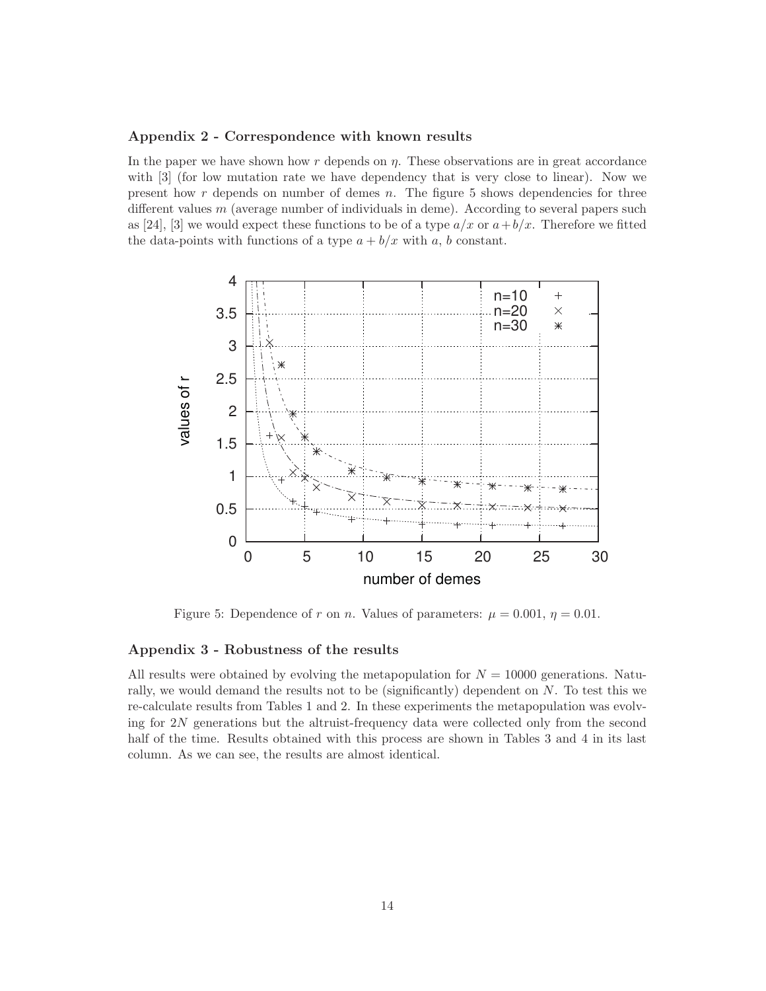### **Appendix 2 - Correspondence with known results**

In the paper we have shown how  $r$  depends on  $\eta$ . These observations are in great accordance with [3] (for low mutation rate we have dependency that is very close to linear). Now we present how  $r$  depends on number of demes  $n$ . The figure 5 shows dependencies for three different values  $m$  (average number of individuals in deme). According to several papers such as [24], [3] we would expect these functions to be of a type  $a/x$  or  $a+b/x$ . Therefore we fitted the data-points with functions of a type  $a + b/x$  with a, b constant.



Figure 5: Dependence of r on n. Values of parameters:  $\mu = 0.001$ ,  $\eta = 0.01$ .

## **Appendix 3 - Robustness of the results**

All results were obtained by evolving the metapopulation for  $N = 10000$  generations. Naturally, we would demand the results not to be (significantly) dependent on N. To test this we re-calculate results from Tables 1 and 2. In these experiments the metapopulation was evolving for 2N generations but the altruist-frequency data were collected only from the second half of the time. Results obtained with this process are shown in Tables 3 and 4 in its last column. As we can see, the results are almost identical.